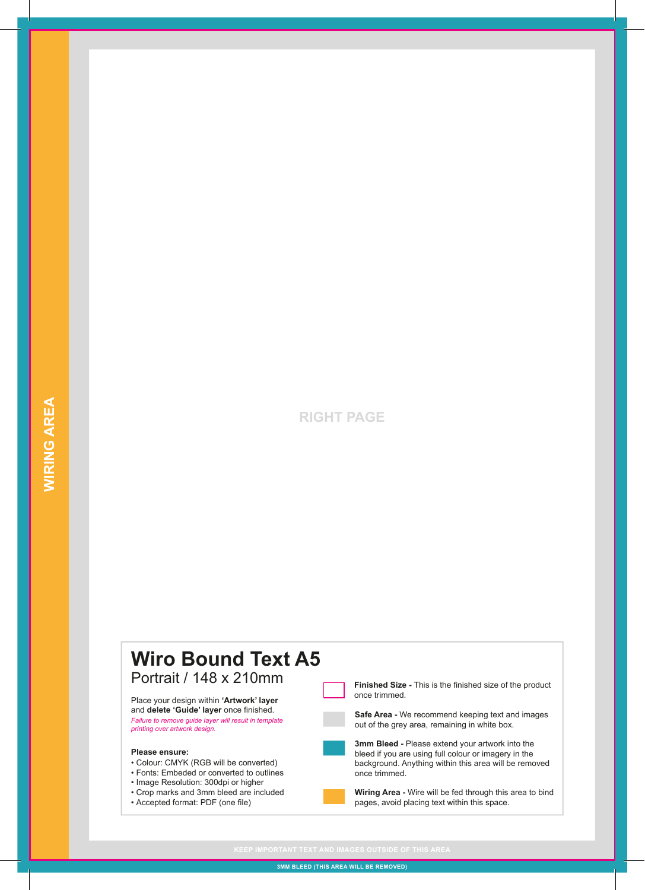## **RIGHT PAGE**



**3MM BLEED (THIS AREA WILL BE REMOVED)**